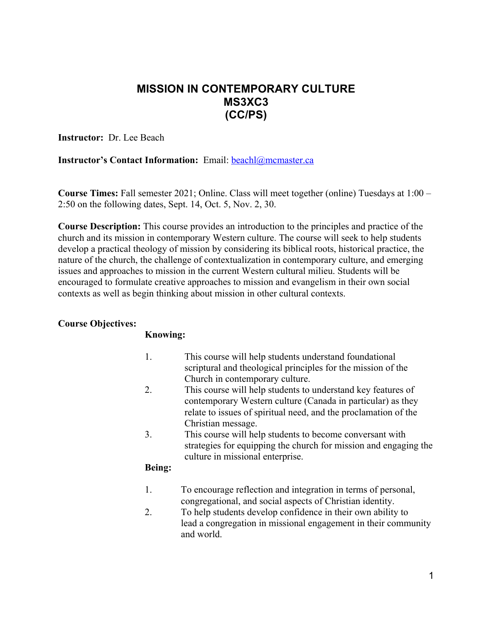# **MISSION IN CONTEMPORARY CULTURE MS3XC3 (CC/PS)**

**Instructor:** Dr. Lee Beach

### **Instructor's Contact Information:** Email: **beach**l@mcmaster.ca

**Course Times:** Fall semester 2021; Online. Class will meet together (online) Tuesdays at 1:00 – 2:50 on the following dates, Sept. 14, Oct. 5, Nov. 2, 30.

**Course Description:** This course provides an introduction to the principles and practice of the church and its mission in contemporary Western culture. The course will seek to help students develop a practical theology of mission by considering its biblical roots, historical practice, the nature of the church, the challenge of contextualization in contemporary culture, and emerging issues and approaches to mission in the current Western cultural milieu. Students will be encouraged to formulate creative approaches to mission and evangelism in their own social contexts as well as begin thinking about mission in other cultural contexts.

### **Course Objectives:**

#### **Knowing:**

- 1. This course will help students understand foundational scriptural and theological principles for the mission of the Church in contemporary culture.
- 2. This course will help students to understand key features of contemporary Western culture (Canada in particular) as they relate to issues of spiritual need, and the proclamation of the Christian message.
- 3. This course will help students to become conversant with strategies for equipping the church for mission and engaging the culture in missional enterprise.

#### **Being:**

- 1. To encourage reflection and integration in terms of personal, congregational, and social aspects of Christian identity.
- 2. To help students develop confidence in their own ability to lead a congregation in missional engagement in their community and world.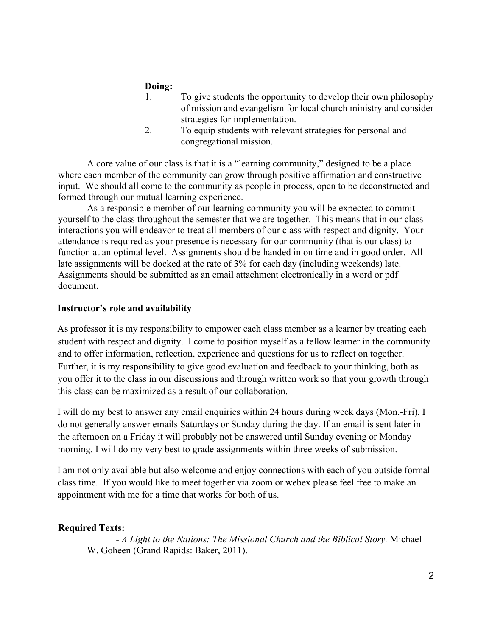## **Doing:**

- 1. To give students the opportunity to develop their own philosophy of mission and evangelism for local church ministry and consider strategies for implementation.
- 2. To equip students with relevant strategies for personal and congregational mission.

A core value of our class is that it is a "learning community," designed to be a place where each member of the community can grow through positive affirmation and constructive input. We should all come to the community as people in process, open to be deconstructed and formed through our mutual learning experience.

As a responsible member of our learning community you will be expected to commit yourself to the class throughout the semester that we are together. This means that in our class interactions you will endeavor to treat all members of our class with respect and dignity. Your attendance is required as your presence is necessary for our community (that is our class) to function at an optimal level. Assignments should be handed in on time and in good order. All late assignments will be docked at the rate of 3% for each day (including weekends) late. Assignments should be submitted as an email attachment electronically in a word or pdf document.

### **Instructor's role and availability**

As professor it is my responsibility to empower each class member as a learner by treating each student with respect and dignity. I come to position myself as a fellow learner in the community and to offer information, reflection, experience and questions for us to reflect on together. Further, it is my responsibility to give good evaluation and feedback to your thinking, both as you offer it to the class in our discussions and through written work so that your growth through this class can be maximized as a result of our collaboration.

I will do my best to answer any email enquiries within 24 hours during week days (Mon.-Fri). I do not generally answer emails Saturdays or Sunday during the day. If an email is sent later in the afternoon on a Friday it will probably not be answered until Sunday evening or Monday morning. I will do my very best to grade assignments within three weeks of submission.

I am not only available but also welcome and enjoy connections with each of you outside formal class time. If you would like to meet together via zoom or webex please feel free to make an appointment with me for a time that works for both of us.

#### **Required Texts:**

- *A Light to the Nations: The Missional Church and the Biblical Story.* Michael W. Goheen (Grand Rapids: Baker, 2011).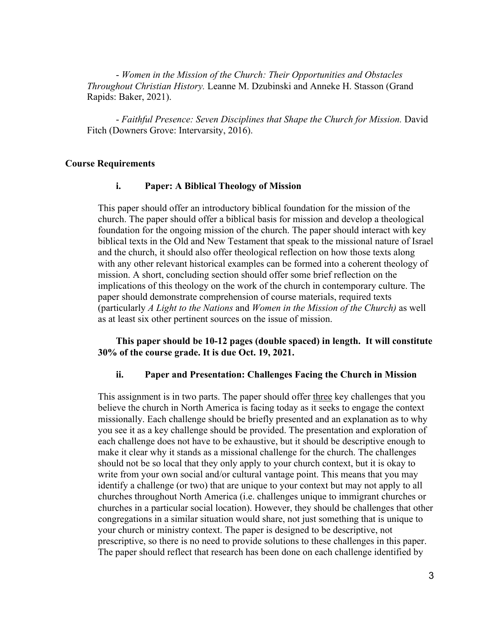- *Women in the Mission of the Church: Their Opportunities and Obstacles Throughout Christian History.* Leanne M. Dzubinski and Anneke H. Stasson (Grand Rapids: Baker, 2021).

- *Faithful Presence: Seven Disciplines that Shape the Church for Mission.* David Fitch (Downers Grove: Intervarsity, 2016).

#### **Course Requirements**

#### **i. Paper: A Biblical Theology of Mission**

This paper should offer an introductory biblical foundation for the mission of the church. The paper should offer a biblical basis for mission and develop a theological foundation for the ongoing mission of the church. The paper should interact with key biblical texts in the Old and New Testament that speak to the missional nature of Israel and the church, it should also offer theological reflection on how those texts along with any other relevant historical examples can be formed into a coherent theology of mission. A short, concluding section should offer some brief reflection on the implications of this theology on the work of the church in contemporary culture. The paper should demonstrate comprehension of course materials, required texts (particularly *A Light to the Nations* and *Women in the Mission of the Church)* as well as at least six other pertinent sources on the issue of mission.

 **This paper should be 10-12 pages (double spaced) in length. It will constitute 30% of the course grade. It is due Oct. 19, 2021.** 

#### **ii. Paper and Presentation: Challenges Facing the Church in Mission**

This assignment is in two parts. The paper should offer three key challenges that you believe the church in North America is facing today as it seeks to engage the context missionally. Each challenge should be briefly presented and an explanation as to why you see it as a key challenge should be provided. The presentation and exploration of each challenge does not have to be exhaustive, but it should be descriptive enough to make it clear why it stands as a missional challenge for the church. The challenges should not be so local that they only apply to your church context, but it is okay to write from your own social and/or cultural vantage point. This means that you may identify a challenge (or two) that are unique to your context but may not apply to all churches throughout North America (i.e. challenges unique to immigrant churches or churches in a particular social location). However, they should be challenges that other congregations in a similar situation would share, not just something that is unique to your church or ministry context. The paper is designed to be descriptive, not prescriptive, so there is no need to provide solutions to these challenges in this paper. The paper should reflect that research has been done on each challenge identified by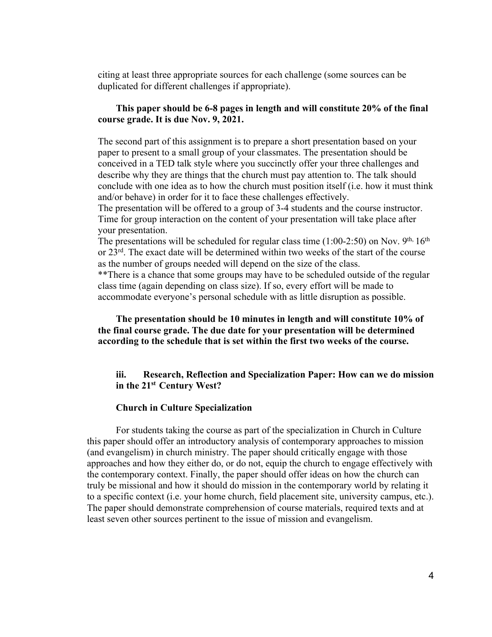citing at least three appropriate sources for each challenge (some sources can be duplicated for different challenges if appropriate).

#### **This paper should be 6-8 pages in length and will constitute 20% of the final course grade. It is due Nov. 9, 2021.**

The second part of this assignment is to prepare a short presentation based on your paper to present to a small group of your classmates. The presentation should be conceived in a TED talk style where you succinctly offer your three challenges and describe why they are things that the church must pay attention to. The talk should conclude with one idea as to how the church must position itself (i.e. how it must think and/or behave) in order for it to face these challenges effectively.

The presentation will be offered to a group of 3-4 students and the course instructor. Time for group interaction on the content of your presentation will take place after your presentation.

The presentations will be scheduled for regular class time  $(1:00-2:50)$  on Nov. 9<sup>th, 16th</sup> or 23rd. The exact date will be determined within two weeks of the start of the course as the number of groups needed will depend on the size of the class.

\*\*There is a chance that some groups may have to be scheduled outside of the regular class time (again depending on class size). If so, every effort will be made to accommodate everyone's personal schedule with as little disruption as possible.

### **The presentation should be 10 minutes in length and will constitute 10% of the final course grade. The due date for your presentation will be determined according to the schedule that is set within the first two weeks of the course.**

### **iii. Research, Reflection and Specialization Paper: How can we do mission in the 21st Century West?**

#### **Church in Culture Specialization**

For students taking the course as part of the specialization in Church in Culture this paper should offer an introductory analysis of contemporary approaches to mission (and evangelism) in church ministry. The paper should critically engage with those approaches and how they either do, or do not, equip the church to engage effectively with the contemporary context. Finally, the paper should offer ideas on how the church can truly be missional and how it should do mission in the contemporary world by relating it to a specific context (i.e. your home church, field placement site, university campus, etc.). The paper should demonstrate comprehension of course materials, required texts and at least seven other sources pertinent to the issue of mission and evangelism.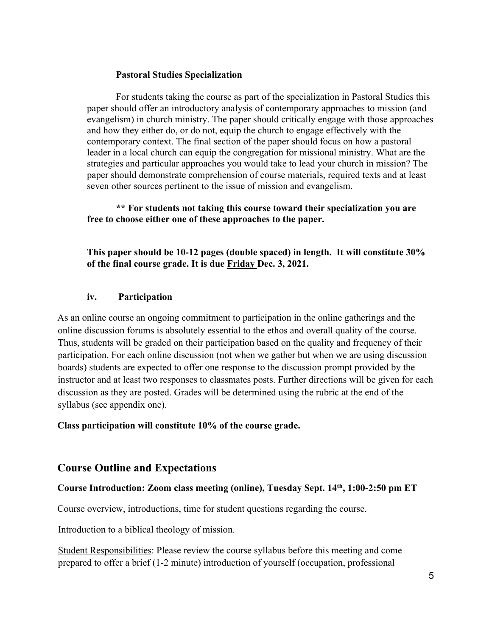### **Pastoral Studies Specialization**

For students taking the course as part of the specialization in Pastoral Studies this paper should offer an introductory analysis of contemporary approaches to mission (and evangelism) in church ministry. The paper should critically engage with those approaches and how they either do, or do not, equip the church to engage effectively with the contemporary context. The final section of the paper should focus on how a pastoral leader in a local church can equip the congregation for missional ministry. What are the strategies and particular approaches you would take to lead your church in mission? The paper should demonstrate comprehension of course materials, required texts and at least seven other sources pertinent to the issue of mission and evangelism.

**\*\* For students not taking this course toward their specialization you are free to choose either one of these approaches to the paper.**

**This paper should be 10-12 pages (double spaced) in length. It will constitute 30% of the final course grade. It is due Friday Dec. 3, 2021.** 

## **iv. Participation**

As an online course an ongoing commitment to participation in the online gatherings and the online discussion forums is absolutely essential to the ethos and overall quality of the course. Thus, students will be graded on their participation based on the quality and frequency of their participation. For each online discussion (not when we gather but when we are using discussion boards) students are expected to offer one response to the discussion prompt provided by the instructor and at least two responses to classmates posts. Further directions will be given for each discussion as they are posted. Grades will be determined using the rubric at the end of the syllabus (see appendix one).

**Class participation will constitute 10% of the course grade.** 

## **Course Outline and Expectations**

## **Course Introduction: Zoom class meeting (online), Tuesday Sept. 14th, 1:00-2:50 pm ET**

Course overview, introductions, time for student questions regarding the course.

Introduction to a biblical theology of mission.

Student Responsibilities: Please review the course syllabus before this meeting and come prepared to offer a brief (1-2 minute) introduction of yourself (occupation, professional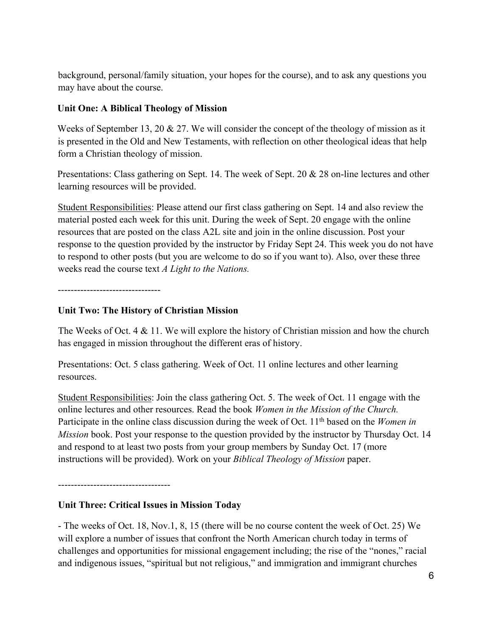background, personal/family situation, your hopes for the course), and to ask any questions you may have about the course.

## **Unit One: A Biblical Theology of Mission**

Weeks of September 13, 20 & 27. We will consider the concept of the theology of mission as it is presented in the Old and New Testaments, with reflection on other theological ideas that help form a Christian theology of mission.

Presentations: Class gathering on Sept. 14. The week of Sept. 20 & 28 on-line lectures and other learning resources will be provided.

Student Responsibilities: Please attend our first class gathering on Sept. 14 and also review the material posted each week for this unit. During the week of Sept. 20 engage with the online resources that are posted on the class A2L site and join in the online discussion. Post your response to the question provided by the instructor by Friday Sept 24. This week you do not have to respond to other posts (but you are welcome to do so if you want to). Also, over these three weeks read the course text *A Light to the Nations.*

--------------------------------

## **Unit Two: The History of Christian Mission**

The Weeks of Oct. 4 & 11. We will explore the history of Christian mission and how the church has engaged in mission throughout the different eras of history.

Presentations: Oct. 5 class gathering. Week of Oct. 11 online lectures and other learning resources.

Student Responsibilities: Join the class gathering Oct. 5. The week of Oct. 11 engage with the online lectures and other resources. Read the book *Women in the Mission of the Church.*  Participate in the online class discussion during the week of Oct. 11<sup>th</sup> based on the *Women in Mission* book. Post your response to the question provided by the instructor by Thursday Oct. 14 and respond to at least two posts from your group members by Sunday Oct. 17 (more instructions will be provided). Work on your *Biblical Theology of Mission* paper.

-----------------------------------

## **Unit Three: Critical Issues in Mission Today**

- The weeks of Oct. 18, Nov.1, 8, 15 (there will be no course content the week of Oct. 25) We will explore a number of issues that confront the North American church today in terms of challenges and opportunities for missional engagement including; the rise of the "nones," racial and indigenous issues, "spiritual but not religious," and immigration and immigrant churches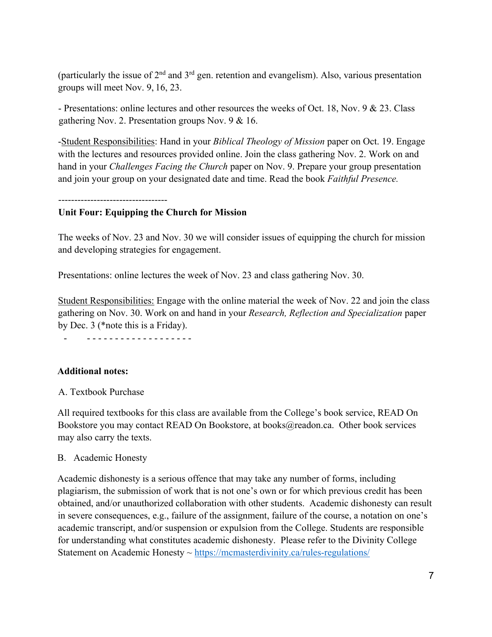(particularly the issue of  $2<sup>nd</sup>$  and  $3<sup>rd</sup>$  gen. retention and evangelism). Also, various presentation groups will meet Nov. 9, 16, 23.

- Presentations: online lectures and other resources the weeks of Oct. 18, Nov. 9 & 23. Class gathering Nov. 2. Presentation groups Nov. 9 & 16.

-Student Responsibilities: Hand in your *Biblical Theology of Mission* paper on Oct. 19. Engage with the lectures and resources provided online. Join the class gathering Nov. 2. Work on and hand in your *Challenges Facing the Church* paper on Nov. 9. Prepare your group presentation and join your group on your designated date and time. Read the book *Faithful Presence.*

----------------------------------

### **Unit Four: Equipping the Church for Mission**

The weeks of Nov. 23 and Nov. 30 we will consider issues of equipping the church for mission and developing strategies for engagement.

Presentations: online lectures the week of Nov. 23 and class gathering Nov. 30.

Student Responsibilities: Engage with the online material the week of Nov. 22 and join the class gathering on Nov. 30. Work on and hand in your *Research, Reflection and Specialization* paper by Dec. 3 (\*note this is a Friday).

- - - - - - - - - - - - - - - - - - - -

#### **Additional notes:**

#### A. Textbook Purchase

All required textbooks for this class are available from the College's book service, READ On Bookstore you may contact READ On Bookstore, at books@readon.ca. Other book services may also carry the texts.

#### B. Academic Honesty

Academic dishonesty is a serious offence that may take any number of forms, including plagiarism, the submission of work that is not one's own or for which previous credit has been obtained, and/or unauthorized collaboration with other students. Academic dishonesty can result in severe consequences, e.g., failure of the assignment, failure of the course, a notation on one's academic transcript, and/or suspension or expulsion from the College. Students are responsible for understanding what constitutes academic dishonesty. Please refer to the Divinity College Statement on Academic Honesty ~ https://mcmasterdivinity.ca/rules-regulations/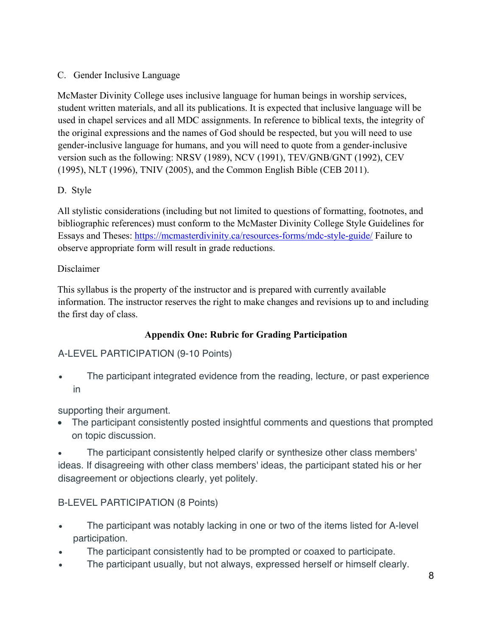## C. Gender Inclusive Language

McMaster Divinity College uses inclusive language for human beings in worship services, student written materials, and all its publications. It is expected that inclusive language will be used in chapel services and all MDC assignments. In reference to biblical texts, the integrity of the original expressions and the names of God should be respected, but you will need to use gender-inclusive language for humans, and you will need to quote from a gender-inclusive version such as the following: NRSV (1989), NCV (1991), TEV/GNB/GNT (1992), CEV (1995), NLT (1996), TNIV (2005), and the Common English Bible (CEB 2011).

## D. Style

All stylistic considerations (including but not limited to questions of formatting, footnotes, and bibliographic references) must conform to the McMaster Divinity College Style Guidelines for Essays and Theses: https://mcmasterdivinity.ca/resources-forms/mdc-style-guide/ Failure to observe appropriate form will result in grade reductions.

## Disclaimer

This syllabus is the property of the instructor and is prepared with currently available information. The instructor reserves the right to make changes and revisions up to and including the first day of class.

## **Appendix One: Rubric for Grading Participation**

# A-LEVEL PARTICIPATION (9-10 Points)

• The participant integrated evidence from the reading, lecture, or past experience in

supporting their argument.

• The participant consistently posted insightful comments and questions that prompted on topic discussion.

• The participant consistently helped clarify or synthesize other class members' ideas. If disagreeing with other class members' ideas, the participant stated his or her disagreement or objections clearly, yet politely.

## B-LEVEL PARTICIPATION (8 Points)

- The participant was notably lacking in one or two of the items listed for A-level participation.
- The participant consistently had to be prompted or coaxed to participate.
- The participant usually, but not always, expressed herself or himself clearly.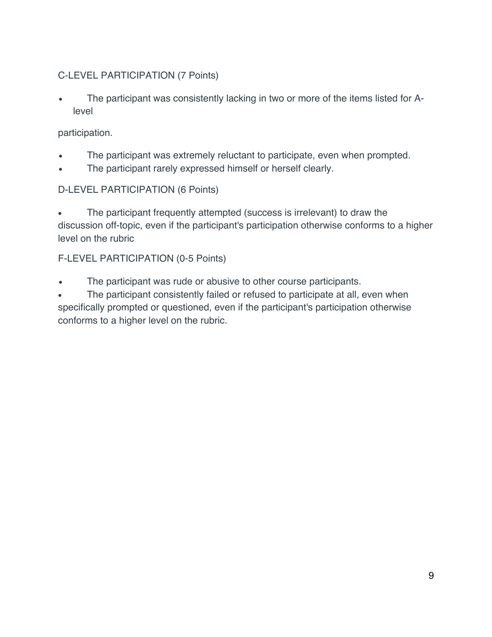# C-LEVEL PARTICIPATION (7 Points)

The participant was consistently lacking in two or more of the items listed for Alevel

## participation.

- The participant was extremely reluctant to participate, even when prompted.
- The participant rarely expressed himself or herself clearly.

# D-LEVEL PARTICIPATION (6 Points)

The participant frequently attempted (success is irrelevant) to draw the discussion off-topic, even if the participant's participation otherwise conforms to a higher level on the rubric

# F-LEVEL PARTICIPATION (0-5 Points)

The participant was rude or abusive to other course participants.

• The participant consistently failed or refused to participate at all, even when specifically prompted or questioned, even if the participant's participation otherwise conforms to a higher level on the rubric.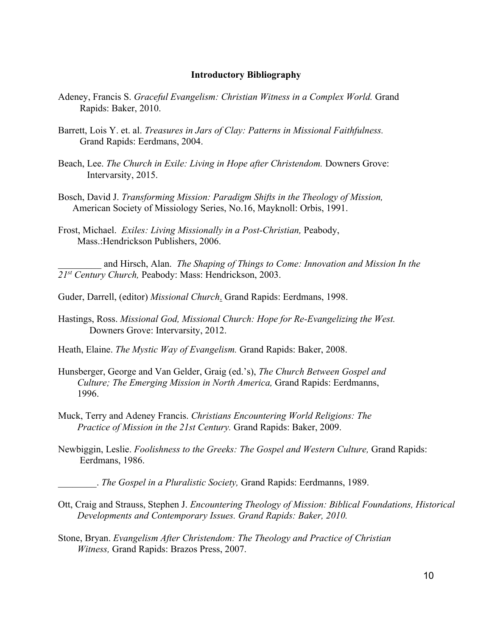#### **Introductory Bibliography**

- Adeney, Francis S. *Graceful Evangelism: Christian Witness in a Complex World.* Grand Rapids: Baker, 2010.
- Barrett, Lois Y. et. al. *Treasures in Jars of Clay: Patterns in Missional Faithfulness.*  Grand Rapids: Eerdmans, 2004.
- Beach, Lee. *The Church in Exile: Living in Hope after Christendom.* Downers Grove: Intervarsity, 2015.
- Bosch, David J. *Transforming Mission: Paradigm Shifts in the Theology of Mission,* American Society of Missiology Series, No.16, Mayknoll: Orbis, 1991.
- Frost, Michael. *Exiles: Living Missionally in a Post-Christian,* Peabody, Mass.:Hendrickson Publishers, 2006.

\_\_\_\_\_\_\_\_\_ and Hirsch, Alan. *The Shaping of Things to Come: Innovation and Mission In the 21st Century Church,* Peabody: Mass: Hendrickson, 2003.

- Guder, Darrell, (editor) *Missional Church*. Grand Rapids: Eerdmans, 1998.
- Hastings, Ross. *Missional God, Missional Church: Hope for Re-Evangelizing the West.*  Downers Grove: Intervarsity, 2012.
- Heath, Elaine. *The Mystic Way of Evangelism.* Grand Rapids: Baker, 2008.
- Hunsberger, George and Van Gelder, Graig (ed.'s), *The Church Between Gospel and Culture; The Emerging Mission in North America,* Grand Rapids: Eerdmanns, 1996.
- Muck, Terry and Adeney Francis. *Christians Encountering World Religions: The Practice of Mission in the 21st Century.* Grand Rapids: Baker, 2009.
- Newbiggin, Leslie. *Foolishness to the Greeks: The Gospel and Western Culture,* Grand Rapids: Eerdmans, 1986.

\_\_\_\_\_\_\_\_. *The Gospel in a Pluralistic Society,* Grand Rapids: Eerdmanns, 1989.

- Ott, Craig and Strauss, Stephen J. *Encountering Theology of Mission: Biblical Foundations, Historical Developments and Contemporary Issues. Grand Rapids: Baker, 2010.*
- Stone, Bryan. *Evangelism After Christendom: The Theology and Practice of Christian Witness,* Grand Rapids: Brazos Press, 2007.